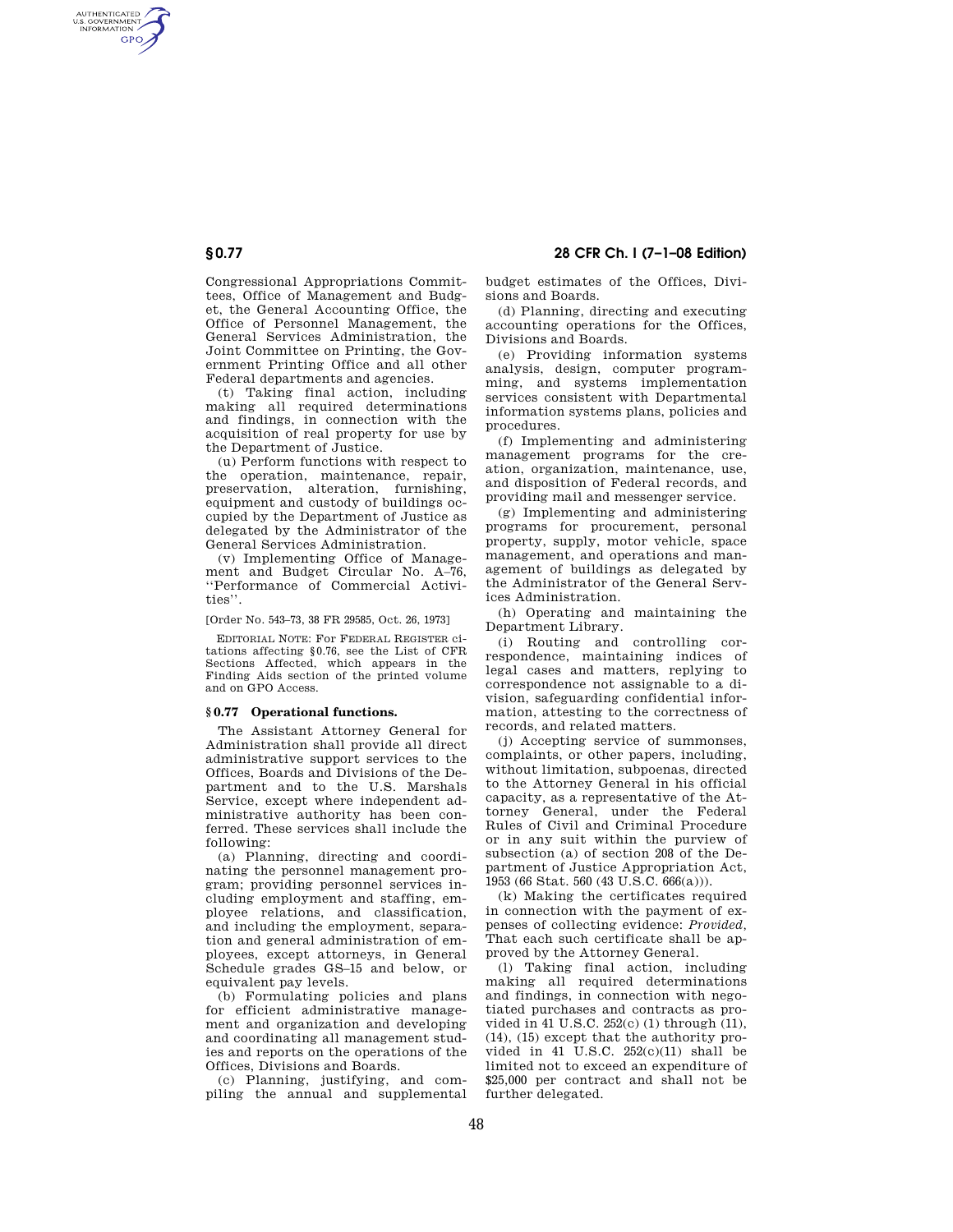Congressional Appropriations Committees, Office of Management and Budget, the General Accounting Office, the Office of Personnel Management, the General Services Administration, the Joint Committee on Printing, the Government Printing Office and all other Federal departments and agencies.

(t) Taking final action, including making all required determinations and findings, in connection with the acquisition of real property for use by the Department of Justice.

(u) Perform functions with respect to the operation, maintenance, repair, preservation, alteration, furnishing, equipment and custody of buildings occupied by the Department of Justice as delegated by the Administrator of the General Services Administration.

(v) Implementing Office of Management and Budget Circular No. A-76, ''Performance of Commercial Activities''.

[Order No. 543–73, 38 FR 29585, Oct. 26, 1973]

EDITORIAL NOTE: For FEDERAL REGISTER citations affecting §0.76, see the List of CFR Sections Affected, which appears in the Finding Aids section of the printed volume and on GPO Access.

## **§ 0.77 Operational functions.**

The Assistant Attorney General for Administration shall provide all direct administrative support services to the Offices, Boards and Divisions of the Department and to the U.S. Marshals Service, except where independent administrative authority has been conferred. These services shall include the following:

(a) Planning, directing and coordinating the personnel management program; providing personnel services including employment and staffing, employee relations, and classification, and including the employment, separation and general administration of employees, except attorneys, in General Schedule grades GS–15 and below, or equivalent pay levels.

(b) Formulating policies and plans for efficient administrative management and organization and developing and coordinating all management studies and reports on the operations of the Offices, Divisions and Boards.

(c) Planning, justifying, and compiling the annual and supplemental budget estimates of the Offices, Divisions and Boards.

(d) Planning, directing and executing accounting operations for the Offices, Divisions and Boards.

(e) Providing information systems analysis, design, computer programming, and systems implementation services consistent with Departmental information systems plans, policies and procedures.

(f) Implementing and administering management programs for the creation, organization, maintenance, use, and disposition of Federal records, and providing mail and messenger service.

(g) Implementing and administering programs for procurement, personal property, supply, motor vehicle, space management, and operations and management of buildings as delegated by the Administrator of the General Services Administration.

(h) Operating and maintaining the Department Library.

(i) Routing and controlling correspondence, maintaining indices of legal cases and matters, replying to correspondence not assignable to a division, safeguarding confidential information, attesting to the correctness of records, and related matters.

(j) Accepting service of summonses, complaints, or other papers, including, without limitation, subpoenas, directed to the Attorney General in his official capacity, as a representative of the Attorney General, under the Federal Rules of Civil and Criminal Procedure or in any suit within the purview of subsection (a) of section 208 of the Department of Justice Appropriation Act, 1953 (66 Stat. 560 (43 U.S.C. 666(a))).

(k) Making the certificates required in connection with the payment of expenses of collecting evidence: *Provided,*  That each such certificate shall be approved by the Attorney General.

(l) Taking final action, including making all required determinations and findings, in connection with negotiated purchases and contracts as provided in 41 U.S.C. 252(c) (1) through (11), (14), (15) except that the authority provided in  $41\ \text{U.S.C.}$   $252(c)(11)$  shall be limited not to exceed an expenditure of \$25,000 per contract and shall not be further delegated.

AUTHENTICATED<br>U.S. GOVERNMENT<br>INFORMATION **GPO**